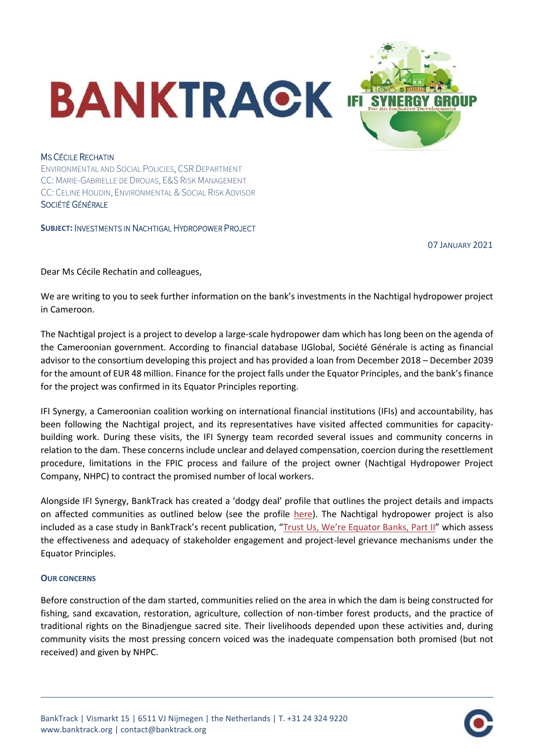

## MS CÉCILE RECHATIN

ENVIRONMENTAL AND SOCIAL POLICIES, CSR DEPARTMENT CC: MARIE-GABRIELLE DE DROUAS, E&S RISK MANAGEMENT CC: CELINE HOUDIN, ENVIRONMENTAL & SOCIAL RISK ADVISOR SOCIÉTÉ GÉNÉRALE

**SUBJECT:** INVESTMENTS IN NACHTIGAL HYDROPOWER PROJECT

07 JANUARY 2021

Dear Ms Cécile Rechatin and colleagues,

We are writing to you to seek further information on the bank's investments in the Nachtigal hydropower project in Cameroon.

The Nachtigal project is a project to develop a large-scale hydropower dam which has long been on the agenda of the Cameroonian government. According to financial database IJGlobal, Société Générale is acting as financial advisor to the consortium developing this project and has provided a loan from December 2018 – December 2039 for the amount of EUR 48 million. Finance for the project falls under the Equator Principles, and the bank's finance for the project was confirmed in its Equator Principles reporting.

IFI Synergy, a Cameroonian coalition working on international financial institutions (IFIs) and accountability, has been following the Nachtigal project, and its representatives have visited affected communities for capacitybuilding work. During these visits, the IFI Synergy team recorded several issues and community concerns in relation to the dam. These concerns include unclear and delayed compensation, coercion during the resettlement procedure, limitations in the FPIC process and failure of the project owner (Nachtigal Hydropower Project Company, NHPC) to contract the promised number of local workers.

Alongside IFI Synergy, BankTrack has created a 'dodgy deal' profile that outlines the project details and impacts on affected communities as outlined below (see the profile [here\)](https://www.banktrack.org/project/nachtigal_hydropower_plant#_). The Nachtigal hydropower project is also included as a case study in BankTrack's recent publication, ["Trust Us, We're Equator Banks, Part II"](https://www.banktrack.org/download/trust_us_were_equator_banks_part_ii) which assess the effectiveness and adequacy of stakeholder engagement and project-level grievance mechanisms under the Equator Principles.

## **OUR CONCERNS**

Before construction of the dam started, communities relied on the area in which the dam is being constructed for fishing, sand excavation, restoration, agriculture, collection of non-timber forest products, and the practice of traditional rights on the Binadjengue sacred site. Their livelihoods depended upon these activities and, during community visits the most pressing concern voiced was the inadequate compensation both promised (but not received) and given by NHPC.

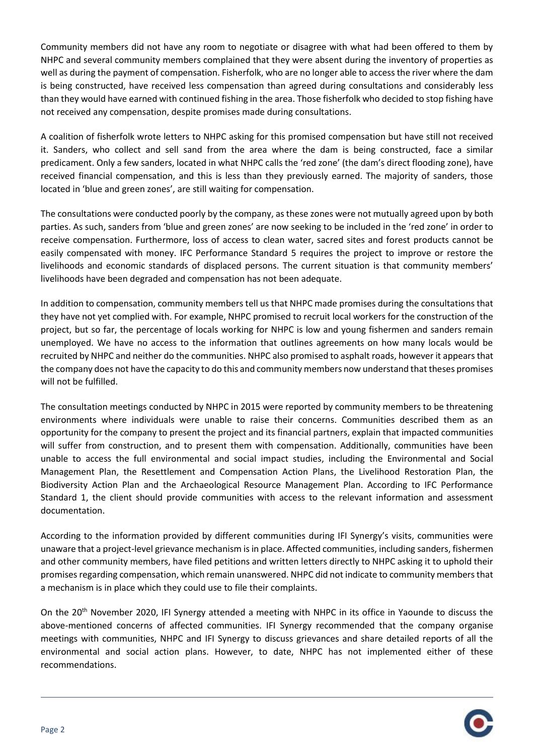Community members did not have any room to negotiate or disagree with what had been offered to them by NHPC and several community members complained that they were absent during the inventory of properties as well as during the payment of compensation. Fisherfolk, who are no longer able to access the river where the dam is being constructed, have received less compensation than agreed during consultations and considerably less than they would have earned with continued fishing in the area. Those fisherfolk who decided to stop fishing have not received any compensation, despite promises made during consultations.

A coalition of fisherfolk wrote letters to NHPC asking for this promised compensation but have still not received it. Sanders, who collect and sell sand from the area where the dam is being constructed, face a similar predicament. Only a few sanders, located in what NHPC calls the 'red zone' (the dam's direct flooding zone), have received financial compensation, and this is less than they previously earned. The majority of sanders, those located in 'blue and green zones', are still waiting for compensation.

The consultations were conducted poorly by the company, as these zones were not mutually agreed upon by both parties. As such, sanders from 'blue and green zones' are now seeking to be included in the 'red zone' in order to receive compensation. Furthermore, loss of access to clean water, sacred sites and forest products cannot be easily compensated with money. IFC Performance Standard 5 requires the project to improve or restore the livelihoods and economic standards of displaced persons. The current situation is that community members' livelihoods have been degraded and compensation has not been adequate.

In addition to compensation, community members tell us that NHPC made promises during the consultations that they have not yet complied with. For example, NHPC promised to recruit local workers for the construction of the project, but so far, the percentage of locals working for NHPC is low and young fishermen and sanders remain unemployed. We have no access to the information that outlines agreements on how many locals would be recruited by NHPC and neither do the communities. NHPC also promised to asphalt roads, however it appears that the company does not have the capacity to do this and community members now understand that theses promises will not be fulfilled.

The consultation meetings conducted by NHPC in 2015 were reported by community members to be threatening environments where individuals were unable to raise their concerns. Communities described them as an opportunity for the company to present the project and its financial partners, explain that impacted communities will suffer from construction, and to present them with compensation. Additionally, communities have been unable to access the full environmental and social impact studies, including the Environmental and Social Management Plan, the Resettlement and Compensation Action Plans, the Livelihood Restoration Plan, the Biodiversity Action Plan and the Archaeological Resource Management Plan. According to IFC Performance Standard 1, the client should provide communities with access to the relevant information and assessment documentation.

According to the information provided by different communities during IFI Synergy's visits, communities were unaware that a project-level grievance mechanism is in place. Affected communities, including sanders, fishermen and other community members, have filed petitions and written letters directly to NHPC asking it to uphold their promises regarding compensation, which remain unanswered. NHPC did not indicate to community members that a mechanism is in place which they could use to file their complaints.

On the 20<sup>th</sup> November 2020, IFI Synergy attended a meeting with NHPC in its office in Yaounde to discuss the above-mentioned concerns of affected communities. IFI Synergy recommended that the company organise meetings with communities, NHPC and IFI Synergy to discuss grievances and share detailed reports of all the environmental and social action plans. However, to date, NHPC has not implemented either of these recommendations.